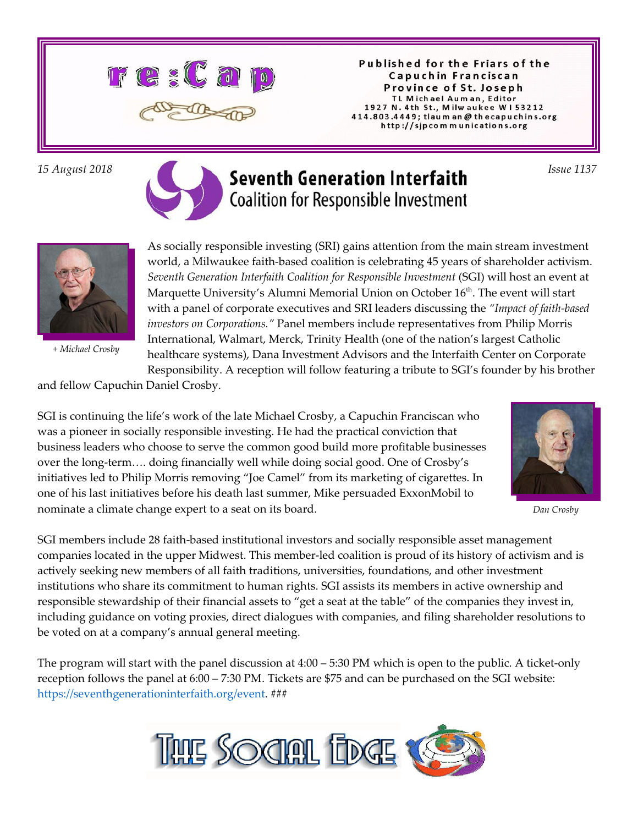

Published for the Friars of the Capuchin Franciscan Province of St. Joseph TL Michael Auman, Editor 1927 N. 4th St., Milwaukee W153212 414.803.4449; tlaum an @ thecapuchins.org http://sjpcommunications.org

# *15 August 2018 Issue 1137*  **Coalition for Responsible Investment**



*+ Michael Crosby*

As socially responsible investing (SRI) gains attention from the main stream investment world, a Milwaukee faith-based coalition is celebrating 45 years of shareholder activism. *Seventh Generation Interfaith Coalition for Responsible Investment* (SGI) will host an event at Marquette University's Alumni Memorial Union on October 16<sup>th</sup>. The event will start with a panel of corporate executives and SRI leaders discussing the *"Impact of faith-based investors on Corporations."* Panel members include representatives from Philip Morris International, Walmart, Merck, Trinity Health (one of the nation's largest Catholic healthcare systems), Dana Investment Advisors and the Interfaith Center on Corporate Responsibility. A reception will follow featuring a tribute to SGI's founder by his brother

and fellow Capuchin Daniel Crosby.

SGI is continuing the life's work of the late Michael Crosby, a Capuchin Franciscan who was a pioneer in socially responsible investing. He had the practical conviction that business leaders who choose to serve the common good build more profitable businesses over the long-term…. doing financially well while doing social good. One of Crosby's initiatives led to Philip Morris removing "Joe Camel" from its marketing of cigarettes. In one of his last initiatives before his death last summer, Mike persuaded ExxonMobil to nominate a climate change expert to a seat on its board.



*Dan Crosby*

SGI members include 28 faith-based institutional investors and socially responsible asset management companies located in the upper Midwest. This member-led coalition is proud of its history of activism and is actively seeking new members of all faith traditions, universities, foundations, and other investment institutions who share its commitment to human rights. SGI assists its members in active ownership and responsible stewardship of their financial assets to "get a seat at the table" of the companies they invest in, including guidance on voting proxies, direct dialogues with companies, and filing shareholder resolutions to be voted on at a company's annual general meeting.

The program will start with the panel discussion at 4:00 – 5:30 PM which is open to the public. A ticket-only reception follows the panel at 6:00 – 7:30 PM. Tickets are \$75 and can be purchased on the SGI website: https://seventhgenerationinterfaith.org/event. ###

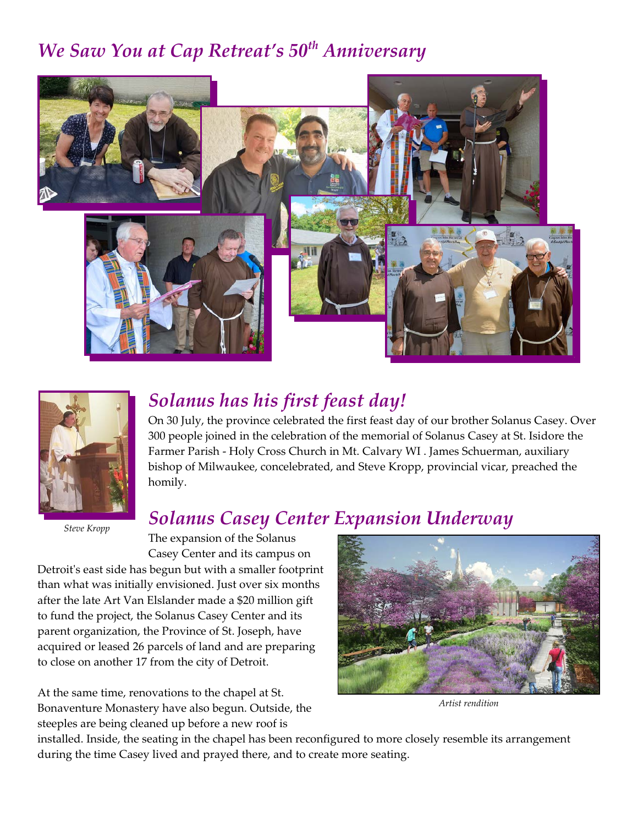### *We Saw You at Cap Retreat's 50th Anniversary*





*Steve Kropp*

### *Solanus has his first feast day!*

On 30 July, the province celebrated the first feast day of our brother Solanus Casey. Over 300 people joined in the celebration of the memorial of Solanus Casey at St. Isidore the Farmer Parish - Holy Cross Church in Mt. Calvary WI . James Schuerman, auxiliary bishop of Milwaukee, concelebrated, and Steve Kropp, provincial vicar, preached the homily.

#### *Solanus Casey Center Expansion Underway*

Casey Center and its campus on Detroit's east side has begun but with a smaller footprint than what was initially envisioned. Just over six months after the late Art Van Elslander made a \$20 million gift to fund the project, the Solanus Casey Center and its parent organization, the Province of St. Joseph, have acquired or leased 26 parcels of land and are preparing to close on another 17 from the city of Detroit.

The expansion of the Solanus

At the same time, renovations to the chapel at St. Bonaventure Monastery have also begun. Outside, the steeples are being cleaned up before a new roof is



*Artist rendition*

installed. Inside, the seating in the chapel has been reconfigured to more closely resemble its arrangement during the time Casey lived and prayed there, and to create more seating.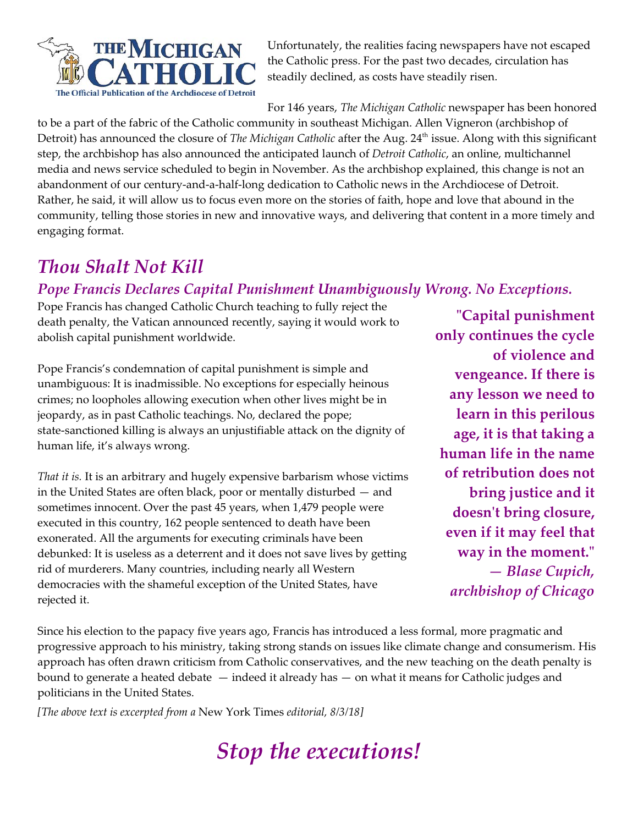

Unfortunately, the realities facing newspapers have not escaped the Catholic press. For the past two decades, circulation has steadily declined, as costs have steadily risen.

For 146 years, *The Michigan Catholic* newspaper has been honored

to be a part of the fabric of the Catholic community in southeast Michigan. Allen Vigneron (archbishop of Detroit) has announced the closure of *The Michigan Catholic* after the Aug. 24<sup>th</sup> issue. Along with this significant step, the archbishop has also announced the anticipated launch of *Detroit Catholic*, an online, multichannel media and news service scheduled to begin in November. As the archbishop explained, this change is not an abandonment of our century-and-a-half-long dedication to Catholic news in the Archdiocese of Detroit. Rather, he said, it will allow us to focus even more on the stories of faith, hope and love that abound in the community, telling those stories in new and innovative ways, and delivering that content in a more timely and engaging format.

#### *Thou Shalt Not Kill*

#### *Pope Francis Declares Capital Punishment Unambiguously Wrong. No Exceptions.*

Pope Francis has changed Catholic Church teaching to fully reject the death penalty, the Vatican announced recently, saying it would work to abolish capital punishment worldwide.

Pope Francis's condemnation of capital punishment is simple and unambiguous: It is inadmissible. No exceptions for especially heinous crimes; no loopholes allowing execution when other lives might be in jeopardy, as in past Catholic teachings. No, declared the pope; state-sanctioned killing is always an unjustifiable attack on the dignity of human life, it's always wrong.

*That it is.* It is an arbitrary and hugely expensive barbarism whose victims in the United States are often black, poor or mentally disturbed — and sometimes innocent. Over the past 45 years, when 1,479 people were executed in this country, 162 people sentenced to death have been exonerated. All the arguments for executing criminals have been debunked: It is useless as a deterrent and it does not save lives by getting rid of murderers. Many countries, including nearly all Western democracies with the shameful exception of the United States, have rejected it.

**"Capital punishment only continues the cycle of violence and vengeance. If there is any lesson we need to learn in this perilous age, it is that taking a human life in the name of retribution does not bring justice and it doesn't bring closure, even if it may feel that way in the moment."** *— Blase Cupich, archbishop of Chicago*

Since his election to the papacy five years ago, Francis has introduced a less formal, more pragmatic and progressive approach to his ministry, taking strong stands on issues like climate change and consumerism. His approach has often drawn criticism from Catholic conservatives, and the new teaching on the death penalty is bound to generate a heated debate — indeed it already has — on what it means for Catholic judges and politicians in the United States.

*[The above text is excerpted from a* New York Times *editorial, 8/3/18]*

*Stop the executions!*